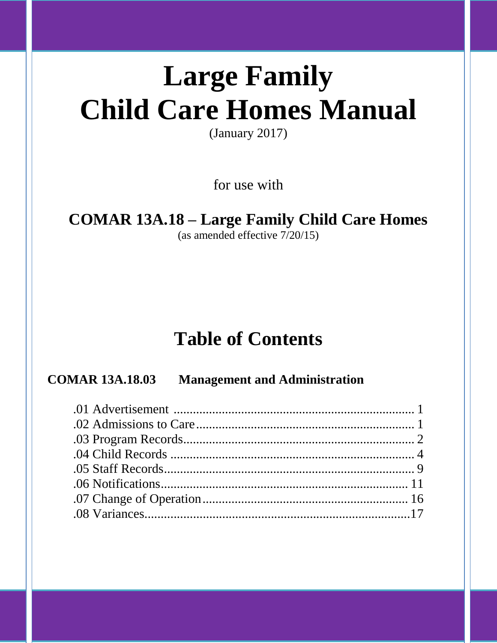# **Large Family Child Care Homes Manual**

(January 2017)

for use with

## **COMAR 13A.18 – Large Family Child Care Homes**

(as amended effective 7/20/15)

## **Table of Contents**

### **COMAR 13A.18.03 Management and Administration**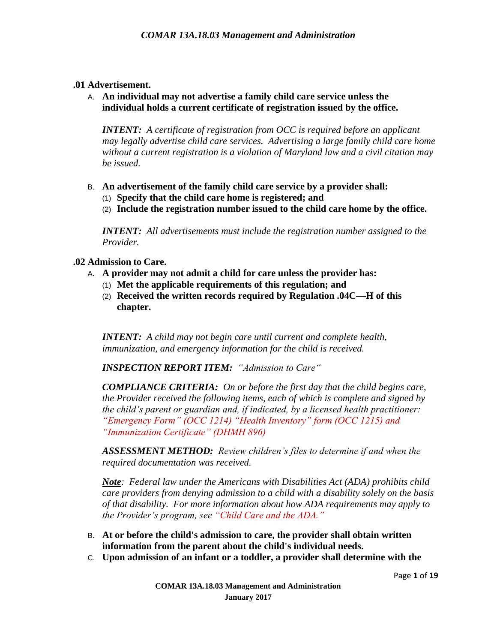#### **.01 Advertisement.**

A. **An individual may not advertise a family child care service unless the individual holds a current certificate of registration issued by the office.**

*INTENT: A certificate of registration from OCC is required before an applicant may legally advertise child care services. Advertising a large family child care home without a current registration is a violation of Maryland law and a civil citation may be issued.*

- B. **An advertisement of the family child care service by a provider shall:**
	- (1) **Specify that the child care home is registered; and**
	- (2) **Include the registration number issued to the child care home by the office.**

*INTENT: All advertisements must include the registration number assigned to the Provider.* 

#### **.02 Admission to Care.**

- A. **A provider may not admit a child for care unless the provider has:**
	- (1) **Met the applicable requirements of this regulation; and**
	- (2) **Received the written records required by Regulation .04C—H of this chapter.**

*INTENT: A child may not begin care until current and complete health, immunization, and emergency information for the child is received.*

*INSPECTION REPORT ITEM: "Admission to Care"* 

*COMPLIANCE CRITERIA: On or before the first day that the child begins care, the Provider received the following items, each of which is complete and signed by the child's parent or guardian and, if indicated, by a licensed health practitioner: "Emergency Form" (OCC 1214) "Health Inventory" form (OCC 1215) and "Immunization Certificate" (DHMH 896)*

*ASSESSMENT METHOD: Review children's files to determine if and when the required documentation was received.*

*Note: Federal law under the Americans with Disabilities Act (ADA) prohibits child care providers from denying admission to a child with a disability solely on the basis of that disability. For more information about how ADA requirements may apply to the Provider's program, see "Child Care and the ADA."* 

- B. **At or before the child's admission to care, the provider shall obtain written information from the parent about the child's individual needs.**
- C. **Upon admission of an infant or a toddler, a provider shall determine with the**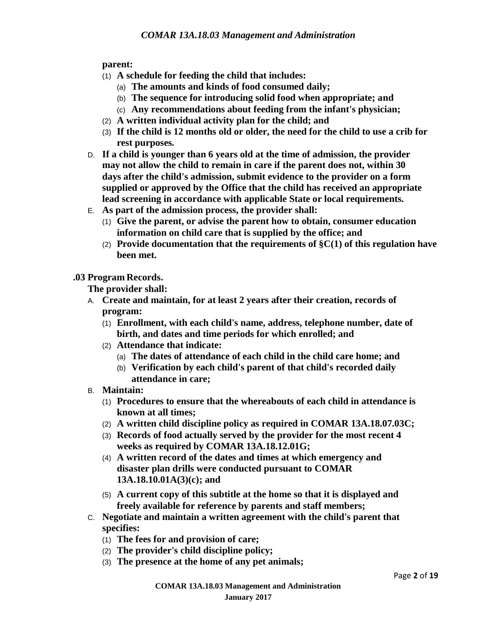**parent:**

- (1) **A schedule for feeding the child that includes:**
	- (a) **The amounts and kinds of food consumed daily;**
	- (b) **The sequence for introducing solid food when appropriate; and**
	- (c) **Any recommendations about feeding from the infant's physician;**
- (2) **A written individual activity plan for the child; and**
- (3) **If the child is 12 months old or older, the need for the child to use a crib for rest purposes.**
- D. **If a child is younger than 6 years old at the time of admission, the provider may not allow the child to remain in care if the parent does not, within 30 days after the child's admission, submit evidence to the provider on a form supplied or approved by the Office that the child has received an appropriate lead screening in accordance with applicable State or local requirements.**
- E. **As part of the admission process, the provider shall:**
	- (1) **Give the parent, or advise the parent how to obtain, consumer education information on child care that is supplied by the office; and**
	- (2) **Provide documentation that the requirements of §C(1) of this regulation have been met.**

**.03 Program Records.**

**The provider shall:**

- A. **Create and maintain, for at least 2 years after their creation, records of program:**
	- (1) **Enrollment, with each child's name, address, telephone number, date of birth, and dates and time periods for which enrolled; and**
	- (2) **Attendance that indicate:**
		- (a) **The dates of attendance of each child in the child care home; and**
		- (b) **Verification by each child's parent of that child's recorded daily attendance in care;**
- B. **Maintain:**
	- (1) **Procedures to ensure that the whereabouts of each child in attendance is known at all times;**
	- (2) **A written child discipline policy as required in COMAR 13A.18.07.03C;**
	- (3) **Records of food actually served by the provider for the most recent 4 weeks as required by COMAR 13A.18.12.01G;**
	- (4) **A written record of the dates and times at which emergency and disaster plan drills were conducted pursuant to COMAR 13A.18.10.01A(3)(c); and**
	- (5) **A current copy of this subtitle at the home so that it is displayed and freely available for reference by parents and staff members;**
- C. **Negotiate and maintain a written agreement with the child's parent that specifies:**
	- (1) **The fees for and provision of care;**
	- (2) **The provider's child discipline policy;**
	- (3) **The presence at the home of any pet animals;**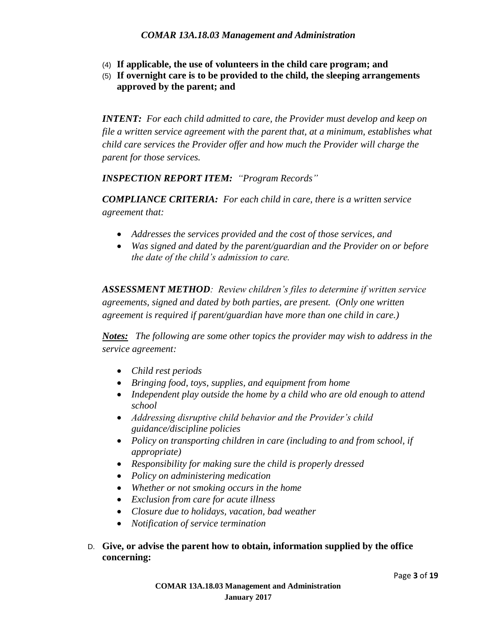- (4) **If applicable, the use of volunteers in the child care program; and**
- (5) **If overnight care is to be provided to the child, the sleeping arrangements approved by the parent; and**

*INTENT: For each child admitted to care, the Provider must develop and keep on file a written service agreement with the parent that, at a minimum, establishes what child care services the Provider offer and how much the Provider will charge the parent for those services.*

*INSPECTION REPORT ITEM: "Program Records"* 

*COMPLIANCE CRITERIA: For each child in care, there is a written service agreement that:*

- *Addresses the services provided and the cost of those services, and*
- *Was signed and dated by the parent/guardian and the Provider on or before the date of the child's admission to care.*

*ASSESSMENT METHOD: Review children's files to determine if written service agreements, signed and dated by both parties, are present. (Only one written agreement is required if parent/guardian have more than one child in care.)*

*Notes: The following are some other topics the provider may wish to address in the service agreement:*

- *Child rest periods*
- *Bringing food, toys, supplies, and equipment from home*
- *Independent play outside the home by a child who are old enough to attend school*
- *Addressing disruptive child behavior and the Provider's child guidance/discipline policies*
- *Policy on transporting children in care (including to and from school, if appropriate)*
- *Responsibility for making sure the child is properly dressed*
- *Policy on administering medication*
- *Whether or not smoking occurs in the home*
- *Exclusion from care for acute illness*
- *Closure due to holidays, vacation, bad weather*
- *Notification of service termination*

#### D. **Give, or advise the parent how to obtain, information supplied by the office concerning:**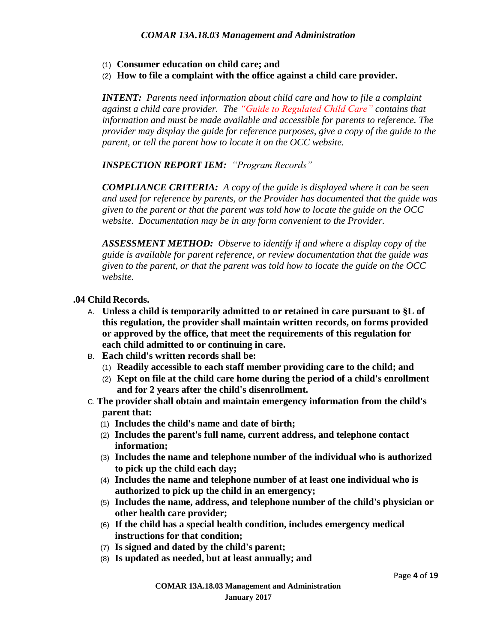- (1) **Consumer education on child care; and**
- (2) **How to file a complaint with the office against a child care provider.**

*INTENT: Parents need information about child care and how to file a complaint against a child care provider. The "Guide to Regulated Child Care" contains that information and must be made available and accessible for parents to reference. The provider may display the guide for reference purposes, give a copy of the guide to the parent, or tell the parent how to locate it on the OCC website.*

*INSPECTION REPORT IEM: "Program Records"*

*COMPLIANCE CRITERIA: A copy of the guide is displayed where it can be seen and used for reference by parents, or the Provider has documented that the guide was given to the parent or that the parent was told how to locate the guide on the OCC website. Documentation may be in any form convenient to the Provider.*

*ASSESSMENT METHOD: Observe to identify if and where a display copy of the guide is available for parent reference, or review documentation that the guide was given to the parent, or that the parent was told how to locate the guide on the OCC website.*

#### **.04 Child Records.**

- A. **Unless a child is temporarily admitted to or retained in care pursuant to §L of this regulation, the provider shall maintain written records, on forms provided or approved by the office, that meet the requirements of this regulation for each child admitted to or continuing in care.**
- B. **Each child's written records shall be:**
	- (1) **Readily accessible to each staff member providing care to the child; and**
	- (2) **Kept on file at the child care home during the period of a child's enrollment and for 2 years after the child's disenrollment.**
- C. **The provider shall obtain and maintain emergency information from the child's parent that:**
	- (1) **Includes the child's name and date of birth;**
	- (2) **Includes the parent's full name, current address, and telephone contact information;**
	- (3) **Includes the name and telephone number of the individual who is authorized to pick up the child each day;**
	- (4) **Includes the name and telephone number of at least one individual who is authorized to pick up the child in an emergency;**
	- (5) **Includes the name, address, and telephone number of the child's physician or other health care provider;**
	- (6) **If the child has a special health condition, includes emergency medical instructions for that condition;**
	- (7) **Is signed and dated by the child's parent;**
	- (8) **Is updated as needed, but at least annually; and**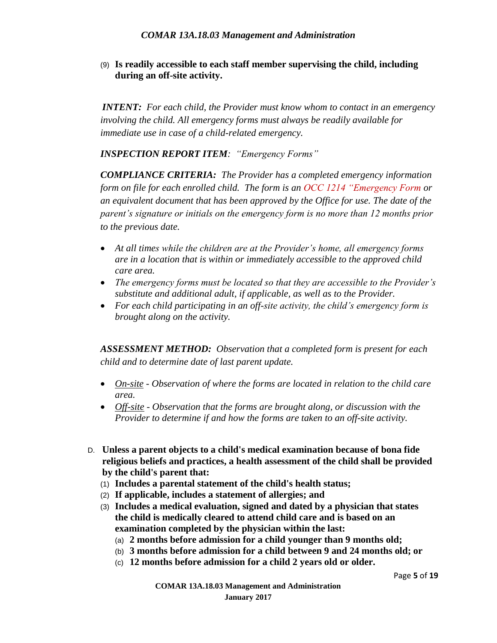(9) **Is readily accessible to each staff member supervising the child, including during an off-site activity.**

*INTENT: For each child, the Provider must know whom to contact in an emergency involving the child. All emergency forms must always be readily available for immediate use in case of a child-related emergency.* 

*INSPECTION REPORT ITEM: "Emergency Forms"*

*COMPLIANCE CRITERIA: The Provider has a completed emergency information form on file for each enrolled child. The form is an OCC 1214 "Emergency Form or an equivalent document that has been approved by the Office for use. The date of the parent's signature or initials on the emergency form is no more than 12 months prior to the previous date.*

- *At all times while the children are at the Provider's home, all emergency forms are in a location that is within or immediately accessible to the approved child care area.*
- *The emergency forms must be located so that they are accessible to the Provider's substitute and additional adult, if applicable, as well as to the Provider.*
- *For each child participating in an off-site activity, the child's emergency form is brought along on the activity.*

*ASSESSMENT METHOD: Observation that a completed form is present for each child and to determine date of last parent update.*

- *On-site - Observation of where the forms are located in relation to the child care area.*
- *Off-site - Observation that the forms are brought along, or discussion with the Provider to determine if and how the forms are taken to an off-site activity.*
- D. **Unless a parent objects to a child's medical examination because of bona fide religious beliefs and practices, a health assessment of the child shall be provided by the child's parent that:**
	- (1) **Includes a parental statement of the child's health status;**
	- (2) **If applicable, includes a statement of allergies; and**
	- (3) **Includes a medical evaluation, signed and dated by a physician that states the child is medically cleared to attend child care and is based on an examination completed by the physician within the last:**
		- (a) **2 months before admission for a child younger than 9 months old;**
		- (b) **3 months before admission for a child between 9 and 24 months old; or**
		- (c) **12 months before admission for a child 2 years old or older.**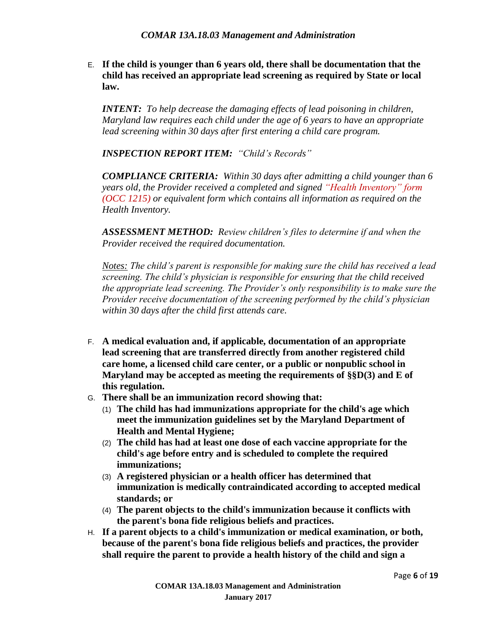E. **If the child is younger than 6 years old, there shall be documentation that the child has received an appropriate lead screening as required by State or local law.**

*INTENT: To help decrease the damaging effects of lead poisoning in children, Maryland law requires each child under the age of 6 years to have an appropriate lead screening within 30 days after first entering a child care program.*

*INSPECTION REPORT ITEM: "Child's Records"*

*COMPLIANCE CRITERIA: Within 30 days after admitting a child younger than 6 years old, the Provider received a completed and signed "Health Inventory" form (OCC 1215) or equivalent form which contains all information as required on the Health Inventory.* 

*ASSESSMENT METHOD: Review children's files to determine if and when the Provider received the required documentation.*

*Notes: The child's parent is responsible for making sure the child has received a lead screening. The child's physician is responsible for ensuring that the child received the appropriate lead screening. The Provider's only responsibility is to make sure the Provider receive documentation of the screening performed by the child's physician within 30 days after the child first attends care.*

- F. **A medical evaluation and, if applicable, documentation of an appropriate lead screening that are transferred directly from another registered child care home, a licensed child care center, or a public or nonpublic school in Maryland may be accepted as meeting the requirements of §§D(3) and E of this regulation.**
- G. **There shall be an immunization record showing that:**
	- (1) **The child has had immunizations appropriate for the child's age which meet the immunization guidelines set by the Maryland Department of Health and Mental Hygiene;**
	- (2) **The child has had at least one dose of each vaccine appropriate for the child's age before entry and is scheduled to complete the required immunizations;**
	- (3) **A registered physician or a health officer has determined that immunization is medically contraindicated according to accepted medical standards; or**
	- (4) **The parent objects to the child's immunization because it conflicts with the parent's bona fide religious beliefs and practices.**
- H. **If a parent objects to a child's immunization or medical examination, or both, because of the parent's bona fide religious beliefs and practices, the provider shall require the parent to provide a health history of the child and sign a**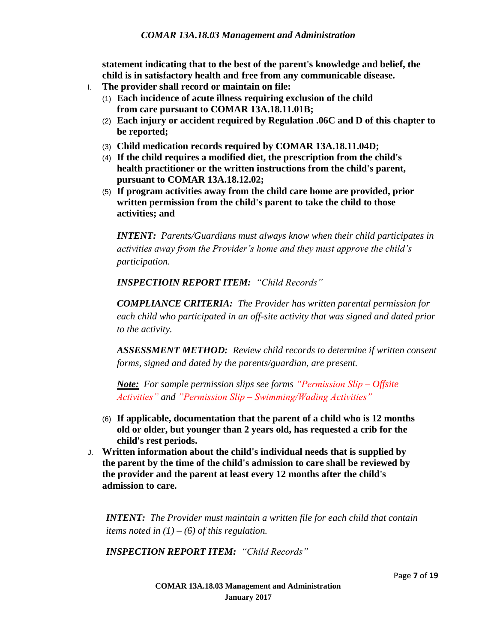**statement indicating that to the best of the parent's knowledge and belief, the child is in satisfactory health and free from any communicable disease.**

- I. **The provider shall record or maintain on file:**
	- (1) **Each incidence of acute illness requiring exclusion of the child from care pursuant to COMAR 13A.18.11.01B;**
	- (2) **Each injury or accident required by Regulation .06C and D of this chapter to be reported;**
	- (3) **Child medication records required by COMAR 13A.18.11.04D;**
	- (4) **If the child requires a modified diet, the prescription from the child's health practitioner or the written instructions from the child's parent, pursuant to COMAR 13A.18.12.02;**
	- (5) **If program activities away from the child care home are provided, prior written permission from the child's parent to take the child to those activities; and**

*INTENT: Parents/Guardians must always know when their child participates in activities away from the Provider's home and they must approve the child's participation.*

*INSPECTIOIN REPORT ITEM: "Child Records"*

*COMPLIANCE CRITERIA: The Provider has written parental permission for each child who participated in an off-site activity that was signed and dated prior to the activity.*

*ASSESSMENT METHOD: Review child records to determine if written consent forms, signed and dated by the parents/guardian, are present.*

*Note: For sample permission slips see forms "Permission Slip – Offsite Activities" and "Permission Slip – Swimming/Wading Activities"*

- (6) **If applicable, documentation that the parent of a child who is 12 months old or older, but younger than 2 years old, has requested a crib for the child's rest periods.**
- J. **Written information about the child's individual needs that is supplied by the parent by the time of the child's admission to care shall be reviewed by the provider and the parent at least every 12 months after the child's admission to care.**

*INTENT: The Provider must maintain a written file for each child that contain items noted in (1) – (6) of this regulation.*

*INSPECTION REPORT ITEM: "Child Records"*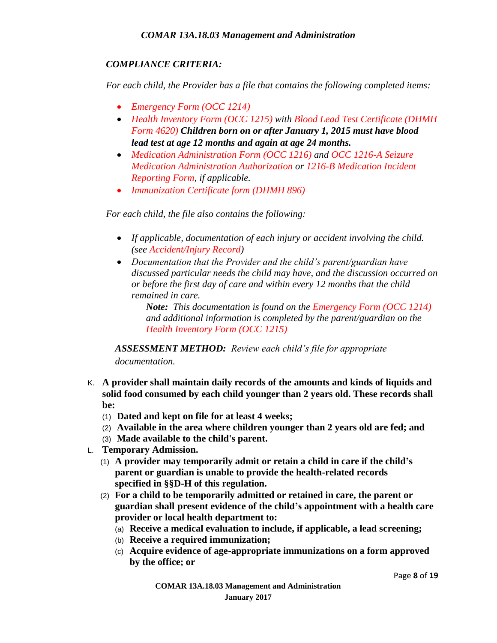#### *COMPLIANCE CRITERIA:*

*For each child, the Provider has a file that contains the following completed items:*

- *Emergency Form (OCC 1214)*
- *Health Inventory Form (OCC 1215) with Blood Lead Test Certificate (DHMH Form 4620) Children born on or after January 1, 2015 must have blood lead test at age 12 months and again at age 24 months.*
- *Medication Administration Form (OCC 1216) and OCC 1216-A Seizure Medication Administration Authorization or 1216-B Medication Incident Reporting Form, if applicable.*
- *Immunization Certificate form (DHMH 896)*

*For each child, the file also contains the following:*

- *If applicable, documentation of each injury or accident involving the child. (see Accident/Injury Record)*
- *Documentation that the Provider and the child's parent/guardian have discussed particular needs the child may have, and the discussion occurred on or before the first day of care and within every 12 months that the child remained in care.*

*Note: This documentation is found on the Emergency Form (OCC 1214) and additional information is completed by the parent/guardian on the Health Inventory Form (OCC 1215)*

*ASSESSMENT METHOD: Review each child's file for appropriate documentation.*

- K. **A provider shall maintain daily records of the amounts and kinds of liquids and solid food consumed by each child younger than 2 years old. These records shall be:**
	- (1) **Dated and kept on file for at least 4 weeks;**
	- (2) **Available in the area where children younger than 2 years old are fed; and**
	- (3) **Made available to the child's parent.**
- L. **Temporary Admission.**
	- (1) **A provider may temporarily admit or retain a child in care if the child's parent or guardian is unable to provide the health-related records specified in §§D-H of this regulation.**
	- (2) **For a child to be temporarily admitted or retained in care, the parent or guardian shall present evidence of the child's appointment with a health care provider or local health department to:**
		- (a) **Receive a medical evaluation to include, if applicable, a lead screening;**
		- (b) **Receive a required immunization;**
		- (c) **Acquire evidence of age-appropriate immunizations on a form approved by the office; or**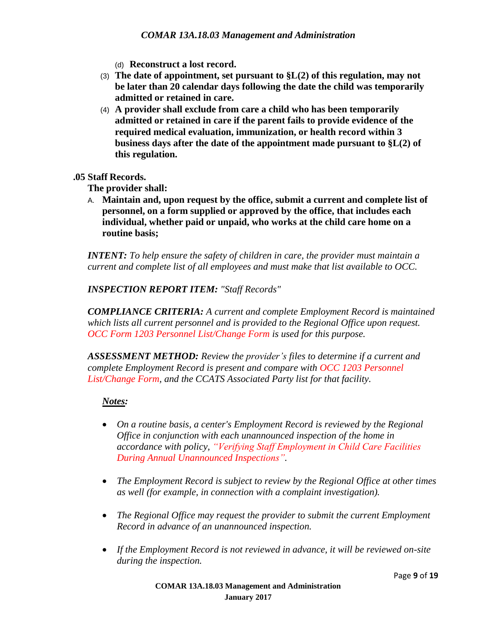(d) **Reconstruct a lost record.**

- (3) **The date of appointment, set pursuant to §L(2) of this regulation, may not be later than 20 calendar days following the date the child was temporarily admitted or retained in care.**
- (4) **A provider shall exclude from care a child who has been temporarily admitted or retained in care if the parent fails to provide evidence of the required medical evaluation, immunization, or health record within 3 business days after the date of the appointment made pursuant to §L(2) of this regulation.**

#### **.05 Staff Records.**

**The provider shall:**

A. **Maintain and, upon request by the office, submit a current and complete list of personnel, on a form supplied or approved by the office, that includes each individual, whether paid or unpaid, who works at the child care home on a routine basis;**

*INTENT: To help ensure the safety of children in care, the provider must maintain a current and complete list of all employees and must make that list available to OCC.*

*INSPECTION REPORT ITEM: "Staff Records"*

*COMPLIANCE CRITERIA: A current and complete Employment Record is maintained which lists all current personnel and is provided to the Regional Office upon request. OCC Form 1203 Personnel List/Change Form is used for this purpose.*

*ASSESSMENT METHOD: Review the provider's files to determine if a current and complete Employment Record is present and compare with OCC 1203 Personnel List/Change Form, and the CCATS Associated Party list for that facility.*

- *On a routine basis, a center's Employment Record is reviewed by the Regional Office in conjunction with each unannounced inspection of the home in accordance with policy, "Verifying Staff Employment in Child Care Facilities During Annual Unannounced Inspections".*
- *The Employment Record is subject to review by the Regional Office at other times as well (for example, in connection with a complaint investigation).*
- *The Regional Office may request the provider to submit the current Employment Record in advance of an unannounced inspection.*
- *If the Employment Record is not reviewed in advance, it will be reviewed on-site during the inspection.*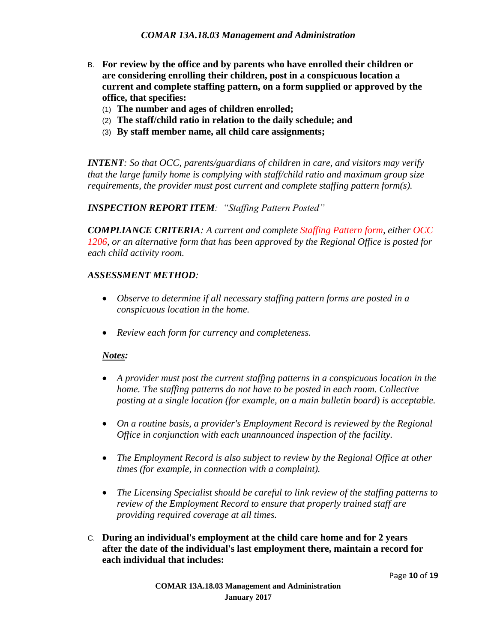- B. **For review by the office and by parents who have enrolled their children or are considering enrolling their children, post in a conspicuous location a current and complete staffing pattern, on a form supplied or approved by the office, that specifies:**
	- (1) **The number and ages of children enrolled;**
	- (2) **The staff/child ratio in relation to the daily schedule; and**
	- (3) **By staff member name, all child care assignments;**

*INTENT: So that OCC, parents/guardians of children in care, and visitors may verify that the large family home is complying with staff/child ratio and maximum group size requirements, the provider must post current and complete staffing pattern form(s).*

*INSPECTION REPORT ITEM: "Staffing Pattern Posted"*

*COMPLIANCE CRITERIA: A current and complete Staffing Pattern form, either OCC 1206, or an alternative form that has been approved by the Regional Office is posted for each child activity room.*

#### *ASSESSMENT METHOD:*

- *Observe to determine if all necessary staffing pattern forms are posted in a conspicuous location in the home.*
- *Review each form for currency and completeness.*

- *A provider must post the current staffing patterns in a conspicuous location in the home. The staffing patterns do not have to be posted in each room. Collective posting at a single location (for example, on a main bulletin board) is acceptable.*
- *On a routine basis, a provider's Employment Record is reviewed by the Regional Office in conjunction with each unannounced inspection of the facility.*
- *The Employment Record is also subject to review by the Regional Office at other times (for example, in connection with a complaint).*
- *The Licensing Specialist should be careful to link review of the staffing patterns to review of the Employment Record to ensure that properly trained staff are providing required coverage at all times.*
- C. **During an individual's employment at the child care home and for 2 years after the date of the individual's last employment there, maintain a record for each individual that includes:**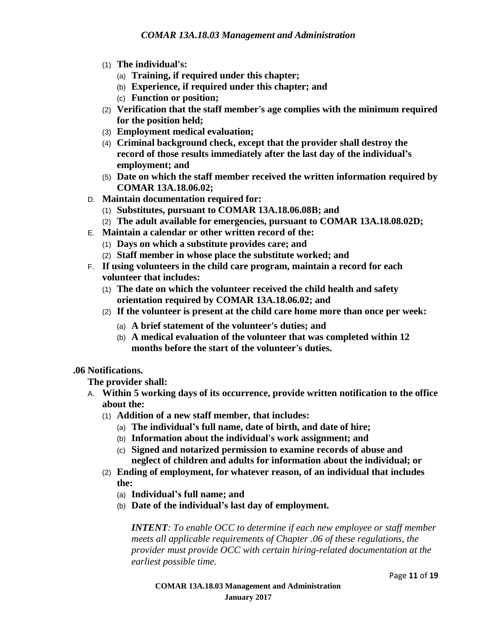- (1) **The individual's:**
	- (a) **Training, if required under this chapter;**
	- (b) **Experience, if required under this chapter; and**
	- (c) **Function or position;**
- (2) **Verification that the staff member's age complies with the minimum required for the position held;**
- (3) **Employment medical evaluation;**
- (4) **Criminal background check, except that the provider shall destroy the record of those results immediately after the last day of the individual's employment; and**
- (5) **Date on which the staff member received the written information required by COMAR 13A.18.06.02;**
- D. **Maintain documentation required for:**
	- (1) **Substitutes, pursuant to COMAR 13A.18.06.08B; and**
	- (2) **The adult available for emergencies, pursuant to COMAR 13A.18.08.02D;**
- E. **Maintain a calendar or other written record of the:**
	- (1) **Days on which a substitute provides care; and**
	- (2) **Staff member in whose place the substitute worked; and**
- F. **If using volunteers in the child care program, maintain a record for each volunteer that includes:**
	- (1) **The date on which the volunteer received the child health and safety orientation required by COMAR 13A.18.06.02; and**
	- (2) **If the volunteer is present at the child care home more than once per week:**
		- (a) **A brief statement of the volunteer's duties; and**
		- (b) **A medical evaluation of the volunteer that was completed within 12 months before the start of the volunteer's duties.**

#### **.06 Notifications.**

**The provider shall:**

- A. **Within 5 working days of its occurrence, provide written notification to the office about the:**
	- (1) **Addition of a new staff member, that includes:**
		- (a) **The individual's full name, date of birth, and date of hire;**
		- (b) **Information about the individual's work assignment; and**
		- (c) **Signed and notarized permission to examine records of abuse and neglect of children and adults for information about the individual; or**
	- (2) **Ending of employment, for whatever reason, of an individual that includes the:**
		- (a) **Individual's full name; and**
		- (b) **Date of the individual's last day of employment.**

*INTENT: To enable OCC to determine if each new employee or staff member meets all applicable requirements of Chapter .06 of these regulations, the provider must provide OCC with certain hiring-related documentation at the earliest possible time.*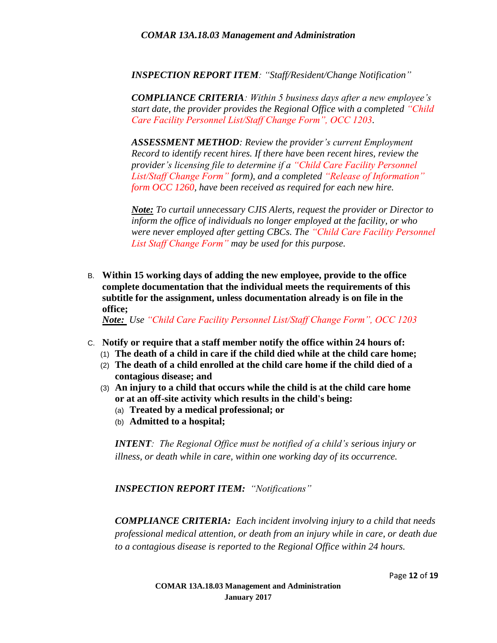*INSPECTION REPORT ITEM: "Staff/Resident/Change Notification"*

*COMPLIANCE CRITERIA: Within 5 business days after a new employee's start date, the provider provides the Regional Office with a completed "Child Care Facility Personnel List/Staff Change Form", OCC 1203.*

*ASSESSMENT METHOD: Review the provider's current Employment Record to identify recent hires. If there have been recent hires, review the provider's licensing file to determine if a "Child Care Facility Personnel List/Staff Change Form" form), and a completed "Release of Information" form OCC 1260, have been received as required for each new hire.*

*Note: To curtail unnecessary CJIS Alerts, request the provider or Director to inform the office of individuals no longer employed at the facility, or who were never employed after getting CBCs. The "Child Care Facility Personnel List Staff Change Form" may be used for this purpose.*

B. **Within 15 working days of adding the new employee, provide to the office complete documentation that the individual meets the requirements of this subtitle for the assignment, unless documentation already is on file in the office;**

*Note: Use "Child Care Facility Personnel List/Staff Change Form", OCC 1203*

- C. **Notify or require that a staff member notify the office within 24 hours of:**
	- (1) **The death of a child in care if the child died while at the child care home;**
	- (2) **The death of a child enrolled at the child care home if the child died of a contagious disease; and**
	- (3) **An injury to a child that occurs while the child is at the child care home or at an off-site activity which results in the child's being:**
		- (a) **Treated by a medical professional; or**
		- (b) **Admitted to a hospital;**

*INTENT: The Regional Office must be notified of a child's serious injury or illness, or death while in care, within one working day of its occurrence.*

*INSPECTION REPORT ITEM: "Notifications"* 

*COMPLIANCE CRITERIA: Each incident involving injury to a child that needs professional medical attention, or death from an injury while in care, or death due to a contagious disease is reported to the Regional Office within 24 hours.*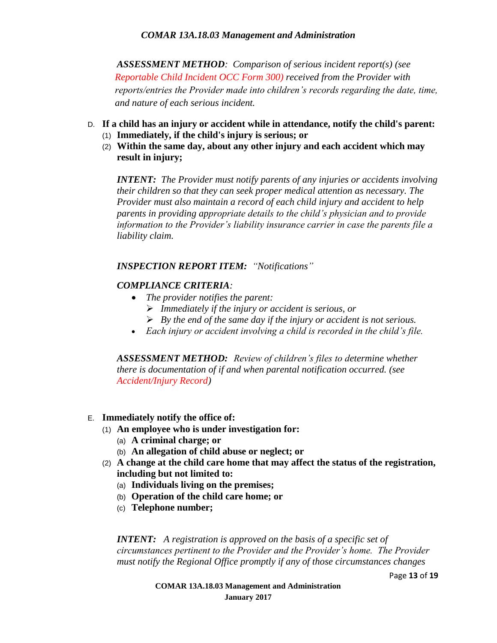*ASSESSMENT METHOD: Comparison of serious incident report(s) (see Reportable Child Incident OCC Form 300) received from the Provider with reports/entries the Provider made into children's records regarding the date, time, and nature of each serious incident.*

- D. **If a child has an injury or accident while in attendance, notify the child's parent:**
	- (1) **Immediately, if the child's injury is serious; or**
	- (2) **Within the same day, about any other injury and each accident which may result in injury;**

*INTENT: The Provider must notify parents of any injuries or accidents involving their children so that they can seek proper medical attention as necessary. The Provider must also maintain a record of each child injury and accident to help parents in providing appropriate details to the child's physician and to provide information to the Provider's liability insurance carrier in case the parents file a liability claim.*

#### *INSPECTION REPORT ITEM: "Notifications"*

#### *COMPLIANCE CRITERIA:*

- *The provider notifies the parent:*
	- *Immediately if the injury or accident is serious, or*
	- *By the end of the same day if the injury or accident is not serious.*
- *Each injury or accident involving a child is recorded in the child's file.*

*ASSESSMENT METHOD: Review of children's files to determine whether there is documentation of if and when parental notification occurred. (see Accident/Injury Record)* 

#### E. **Immediately notify the office of:**

- (1) **An employee who is under investigation for:**
	- (a) **A criminal charge; or**
	- (b) **An allegation of child abuse or neglect; or**
- (2) **A change at the child care home that may affect the status of the registration, including but not limited to:**
	- (a) **Individuals living on the premises;**
	- (b) **Operation of the child care home; or**
	- (c) **Telephone number;**

*INTENT: A registration is approved on the basis of a specific set of circumstances pertinent to the Provider and the Provider's home. The Provider must notify the Regional Office promptly if any of those circumstances changes* 

Page **13** of **19**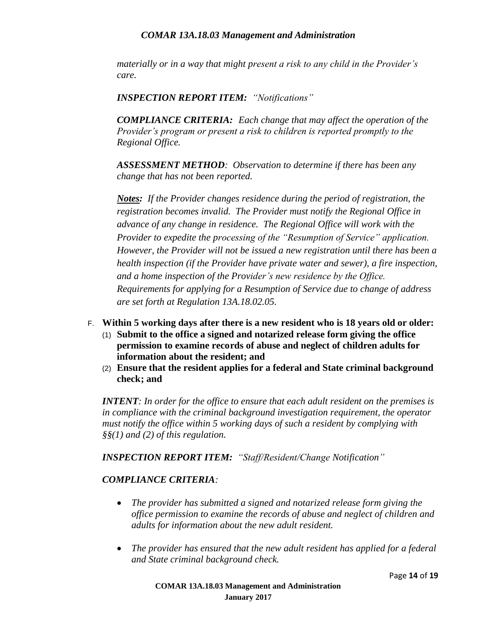*materially or in a way that might present a risk to any child in the Provider's care.* 

*INSPECTION REPORT ITEM: "Notifications"* 

*COMPLIANCE CRITERIA: Each change that may affect the operation of the Provider's program or present a risk to children is reported promptly to the Regional Office.* 

*ASSESSMENT METHOD: Observation to determine if there has been any change that has not been reported.* 

*Notes: If the Provider changes residence during the period of registration, the registration becomes invalid. The Provider must notify the Regional Office in advance of any change in residence. The Regional Office will work with the Provider to expedite the processing of the "Resumption of Service" application. However, the Provider will not be issued a new registration until there has been a health inspection (if the Provider have private water and sewer), a fire inspection, and a home inspection of the Provider's new residence by the Office. Requirements for applying for a Resumption of Service due to change of address are set forth at Regulation 13A.18.02.05.*

- F. **Within 5 working days after there is a new resident who is 18 years old or older:**
	- (1) **Submit to the office a signed and notarized release form giving the office permission to examine records of abuse and neglect of children adults for information about the resident; and**
	- (2) **Ensure that the resident applies for a federal and State criminal background check; and**

*INTENT: In order for the office to ensure that each adult resident on the premises is in compliance with the criminal background investigation requirement, the operator must notify the office within 5 working days of such a resident by complying with §§(1) and (2) of this regulation.*

*INSPECTION REPORT ITEM: "Staff/Resident/Change Notification"*

#### *COMPLIANCE CRITERIA:*

- *The provider has submitted a signed and notarized release form giving the office permission to examine the records of abuse and neglect of children and adults for information about the new adult resident.*
- *The provider has ensured that the new adult resident has applied for a federal and State criminal background check.*

Page **14** of **19**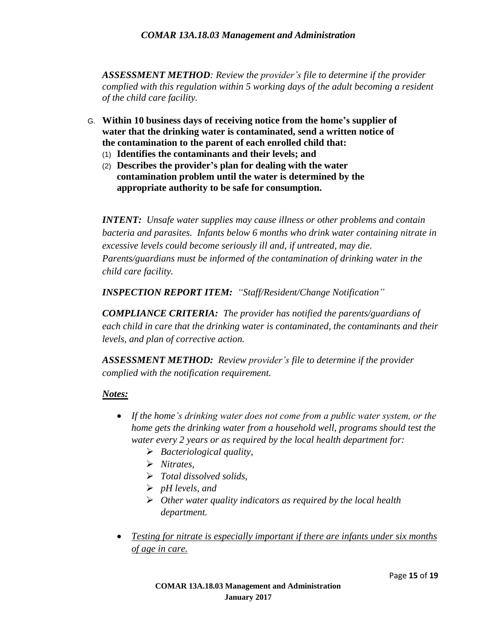*ASSESSMENT METHOD: Review the provider's file to determine if the provider complied with this regulation within 5 working days of the adult becoming a resident of the child care facility.*

- G. **Within 10 business days of receiving notice from the home's supplier of water that the drinking water is contaminated, send a written notice of the contamination to the parent of each enrolled child that:**
	- (1) **Identifies the contaminants and their levels; and**
	- (2) **Describes the provider's plan for dealing with the water contamination problem until the water is determined by the appropriate authority to be safe for consumption.**

*INTENT: Unsafe water supplies may cause illness or other problems and contain bacteria and parasites. Infants below 6 months who drink water containing nitrate in excessive levels could become seriously ill and, if untreated, may die. Parents/guardians must be informed of the contamination of drinking water in the child care facility.*

*INSPECTION REPORT ITEM: "Staff/Resident/Change Notification"*

*COMPLIANCE CRITERIA: The provider has notified the parents/guardians of each child in care that the drinking water is contaminated, the contaminants and their levels, and plan of corrective action.*

*ASSESSMENT METHOD: Review provider's file to determine if the provider complied with the notification requirement.*

- *If the home's drinking water does not come from a public water system, or the home gets the drinking water from a household well, programs should test the water every 2 years or as required by the local health department for:*
	- *Bacteriological quality,*
	- *Nitrates,*
	- *Total dissolved solids,*
	- *pH levels, and*
	- *Other water quality indicators as required by the local health department.*
- *Testing for nitrate is especially important if there are infants under six months of age in care.*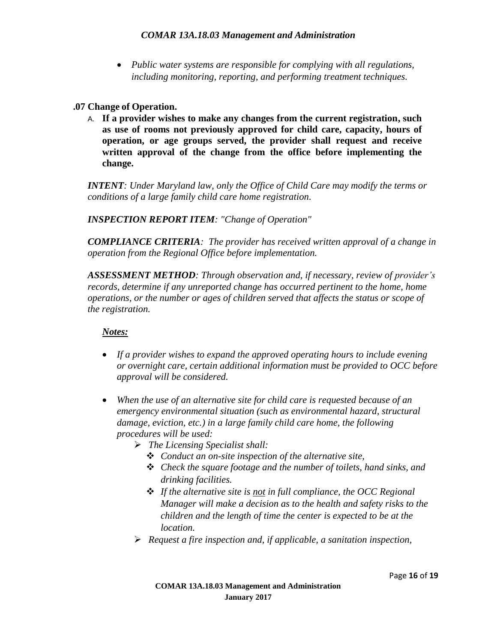*Public water systems are responsible for complying with all regulations, including monitoring, reporting, and performing treatment techniques.*

#### **.07 Change of Operation.**

A. **If a provider wishes to make any changes from the current registration, such as use of rooms not previously approved for child care, capacity, hours of operation, or age groups served, the provider shall request and receive written approval of the change from the office before implementing the change.**

*INTENT: Under Maryland law, only the Office of Child Care may modify the terms or conditions of a large family child care home registration.*

*INSPECTION REPORT ITEM: "Change of Operation"*

*COMPLIANCE CRITERIA: The provider has received written approval of a change in operation from the Regional Office before implementation.*

*ASSESSMENT METHOD: Through observation and, if necessary, review of provider's* records, determine if any unreported change has occurred pertinent to the home, home *operations, or the number or ages of children served that affects the status or scope of the registration.* 

- *If a provider wishes to expand the approved operating hours to include evening or overnight care, certain additional information must be provided to OCC before approval will be considered.*
- *When the use of an alternative site for child care is requested because of an emergency environmental situation (such as environmental hazard, structural damage, eviction, etc.) in a large family child care home, the following procedures will be used:* 
	- *The Licensing Specialist shall:*
		- *Conduct an on-site inspection of the alternative site,*
		- *Check the square footage and the number of toilets, hand sinks, and drinking facilities.*
		- *If the alternative site is not in full compliance, the OCC Regional Manager will make a decision as to the health and safety risks to the children and the length of time the center is expected to be at the location.*
	- *Request a fire inspection and, if applicable, a sanitation inspection,*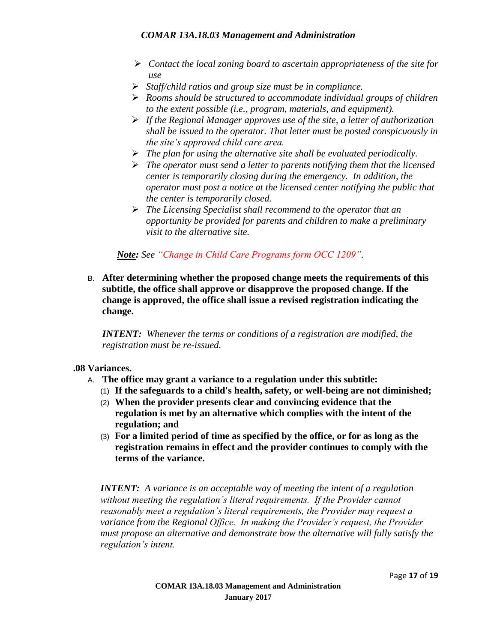- *Contact the local zoning board to ascertain appropriateness of the site for use*
- *Staff/child ratios and group size must be in compliance.*
- *Rooms should be structured to accommodate individual groups of children to the extent possible (i.e., program, materials, and equipment).*
- *If the Regional Manager approves use of the site, a letter of authorization shall be issued to the operator. That letter must be posted conspicuously in the site's approved child care area.*
- *The plan for using the alternative site shall be evaluated periodically.*
- *The operator must send a letter to parents notifying them that the licensed center is temporarily closing during the emergency. In addition, the operator must post a notice at the licensed center notifying the public that the center is temporarily closed.*
- *The Licensing Specialist shall recommend to the operator that an opportunity be provided for parents and children to make a preliminary visit to the alternative site.*

*Note: See "Change in Child Care Programs form OCC 1209".*

B. **After determining whether the proposed change meets the requirements of this subtitle, the office shall approve or disapprove the proposed change. If the change is approved, the office shall issue a revised registration indicating the change.**

*INTENT: Whenever the terms or conditions of a registration are modified, the registration must be re-issued.*

#### **.08 Variances.**

- A. **The office may grant a variance to a regulation under this subtitle:**
	- (1) **If the safeguards to a child's health, safety, or well-being are not diminished;**
	- (2) **When the provider presents clear and convincing evidence that the regulation is met by an alternative which complies with the intent of the regulation; and**
	- (3) **For a limited period of time as specified by the office, or for as long as the registration remains in effect and the provider continues to comply with the terms of the variance.**

*INTENT: A variance is an acceptable way of meeting the intent of a regulation without meeting the regulation's literal requirements. If the Provider cannot reasonably meet a regulation's literal requirements, the Provider may request a variance from the Regional Office. In making the Provider's request, the Provider must propose an alternative and demonstrate how the alternative will fully satisfy the regulation's intent.*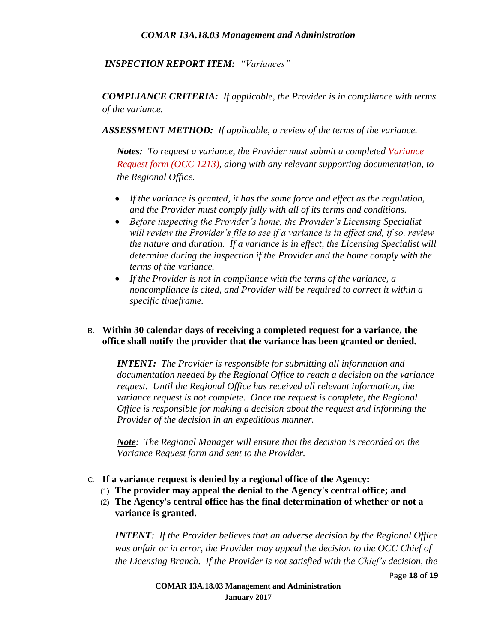#### *INSPECTION REPORT ITEM: "Variances"*

*COMPLIANCE CRITERIA: If applicable, the Provider is in compliance with terms of the variance.*

*ASSESSMENT METHOD: If applicable, a review of the terms of the variance.*

*Notes: To request a variance, the Provider must submit a completed Variance Request form (OCC 1213), along with any relevant supporting documentation, to the Regional Office.*

- *If the variance is granted, it has the same force and effect as the regulation, and the Provider must comply fully with all of its terms and conditions.*
- *Before inspecting the Provider's home, the Provider's Licensing Specialist will review the Provider's file to see if a variance is in effect and, if so, review the nature and duration. If a variance is in effect, the Licensing Specialist will determine during the inspection if the Provider and the home comply with the terms of the variance.*
- *If the Provider is not in compliance with the terms of the variance, a noncompliance is cited, and Provider will be required to correct it within a specific timeframe.*

#### B. **Within 30 calendar days of receiving a completed request for a variance, the office shall notify the provider that the variance has been granted or denied.**

*INTENT: The Provider is responsible for submitting all information and documentation needed by the Regional Office to reach a decision on the variance request. Until the Regional Office has received all relevant information, the variance request is not complete. Once the request is complete, the Regional Office is responsible for making a decision about the request and informing the Provider of the decision in an expeditious manner.*

*Note: The Regional Manager will ensure that the decision is recorded on the Variance Request form and sent to the Provider.*

- C. **If a variance request is denied by a regional office of the Agency:**
	- (1) **The provider may appeal the denial to the Agency's central office; and**
	- (2) **The Agency's central office has the final determination of whether or not a variance is granted.**

*INTENT: If the Provider believes that an adverse decision by the Regional Office was unfair or in error, the Provider may appeal the decision to the OCC Chief of the Licensing Branch. If the Provider is not satisfied with the Chief's decision, the* 

Page **18** of **19**